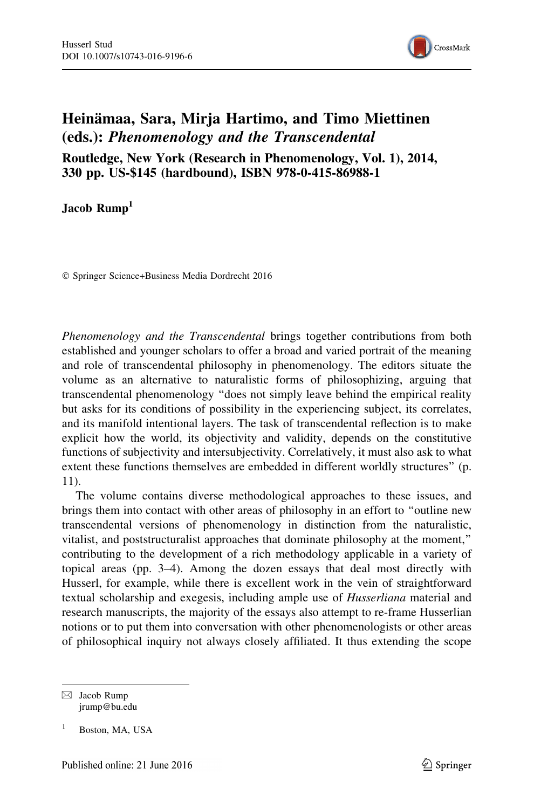

## Heinämaa, Sara, Mirja Hartimo, and Timo Miettinen (eds.): Phenomenology and the Transcendental

Routledge, New York (Research in Phenomenology, Vol. 1), 2014, 330 pp. US-\$145 (hardbound), ISBN 978-0-415-86988-1

 $Jacob$  Rump<sup>1</sup>

- Springer Science+Business Media Dordrecht 2016

Phenomenology and the Transcendental brings together contributions from both established and younger scholars to offer a broad and varied portrait of the meaning and role of transcendental philosophy in phenomenology. The editors situate the volume as an alternative to naturalistic forms of philosophizing, arguing that transcendental phenomenology ''does not simply leave behind the empirical reality but asks for its conditions of possibility in the experiencing subject, its correlates, and its manifold intentional layers. The task of transcendental reflection is to make explicit how the world, its objectivity and validity, depends on the constitutive functions of subjectivity and intersubjectivity. Correlatively, it must also ask to what extent these functions themselves are embedded in different worldly structures'' (p. 11).

The volume contains diverse methodological approaches to these issues, and brings them into contact with other areas of philosophy in an effort to ''outline new transcendental versions of phenomenology in distinction from the naturalistic, vitalist, and poststructuralist approaches that dominate philosophy at the moment,'' contributing to the development of a rich methodology applicable in a variety of topical areas (pp. 3–4). Among the dozen essays that deal most directly with Husserl, for example, while there is excellent work in the vein of straightforward textual scholarship and exegesis, including ample use of *Husserliana* material and research manuscripts, the majority of the essays also attempt to re-frame Husserlian notions or to put them into conversation with other phenomenologists or other areas of philosophical inquiry not always closely affiliated. It thus extending the scope

 $\boxtimes$  Jacob Rump jrump@bu.edu

 $<sup>1</sup>$  Boston, MA, USA</sup>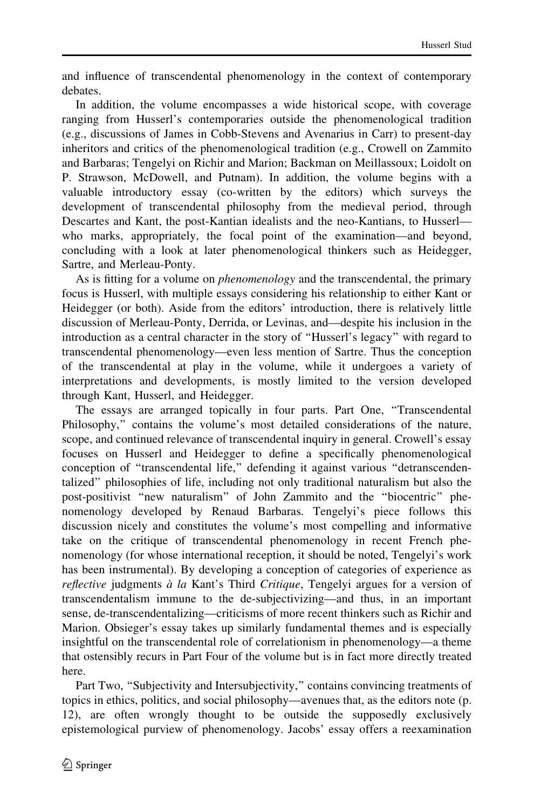and influence of transcendental phenomenology in the context of contemporary debates.

In addition, the volume encompasses a wide historical scope, with coverage ranging from Husserl's contemporaries outside the phenomenological tradition (e.g., discussions of James in Cobb-Stevens and Avenarius in Carr) to present-day inheritors and critics of the phenomenological tradition (e.g., Crowell on Zammito and Barbaras; Tengelyi on Richir and Marion; Backman on Meillassoux; Loidolt on P. Strawson, McDowell, and Putnam). In addition, the volume begins with a valuable introductory essay (co-written by the editors) which surveys the development of transcendental philosophy from the medieval period, through Descartes and Kant, the post-Kantian idealists and the neo-Kantians, to Husserl who marks, appropriately, the focal point of the examination—and beyond, concluding with a look at later phenomenological thinkers such as Heidegger, Sartre, and Merleau-Ponty.

As is fitting for a volume on *phenomenology* and the transcendental, the primary focus is Husserl, with multiple essays considering his relationship to either Kant or Heidegger (or both). Aside from the editors' introduction, there is relatively little discussion of Merleau-Ponty, Derrida, or Levinas, and—despite his inclusion in the introduction as a central character in the story of ''Husserl's legacy'' with regard to transcendental phenomenology—even less mention of Sartre. Thus the conception of the transcendental at play in the volume, while it undergoes a variety of interpretations and developments, is mostly limited to the version developed through Kant, Husserl, and Heidegger.

The essays are arranged topically in four parts. Part One, ''Transcendental Philosophy,'' contains the volume's most detailed considerations of the nature, scope, and continued relevance of transcendental inquiry in general. Crowell's essay focuses on Husserl and Heidegger to define a specifically phenomenological conception of ''transcendental life,'' defending it against various ''detranscendentalized'' philosophies of life, including not only traditional naturalism but also the post-positivist ''new naturalism'' of John Zammito and the ''biocentric'' phenomenology developed by Renaud Barbaras. Tengelyi's piece follows this discussion nicely and constitutes the volume's most compelling and informative take on the critique of transcendental phenomenology in recent French phenomenology (for whose international reception, it should be noted, Tengelyi's work has been instrumental). By developing a conception of categories of experience as  $reflective$  judgments  $\dot{a}$  la Kant's Third Critique, Tengelyi argues for a version of transcendentalism immune to the de-subjectivizing—and thus, in an important sense, de-transcendentalizing—criticisms of more recent thinkers such as Richir and Marion. Obsieger's essay takes up similarly fundamental themes and is especially insightful on the transcendental role of correlationism in phenomenology—a theme that ostensibly recurs in Part Four of the volume but is in fact more directly treated here.

Part Two, "Subjectivity and Intersubjectivity," contains convincing treatments of topics in ethics, politics, and social philosophy—avenues that, as the editors note (p. 12), are often wrongly thought to be outside the supposedly exclusively epistemological purview of phenomenology. Jacobs' essay offers a reexamination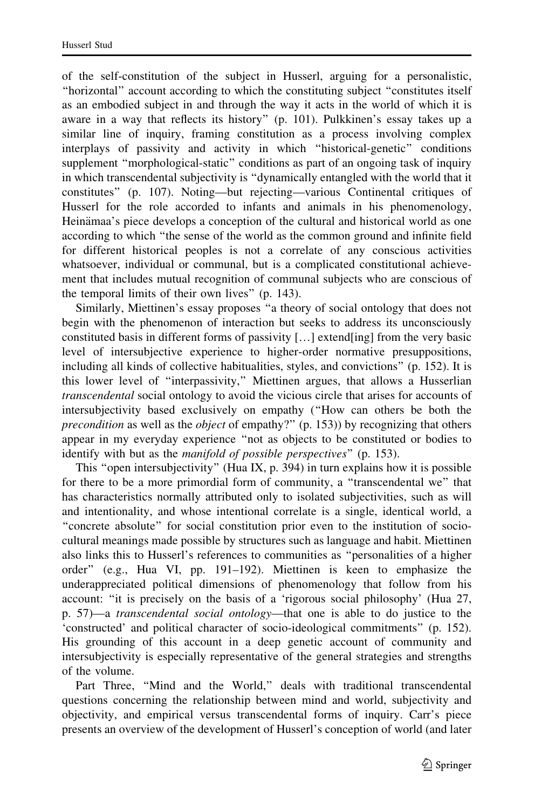of the self-constitution of the subject in Husserl, arguing for a personalistic, ''horizontal'' account according to which the constituting subject ''constitutes itself as an embodied subject in and through the way it acts in the world of which it is aware in a way that reflects its history'' (p. 101). Pulkkinen's essay takes up a similar line of inquiry, framing constitution as a process involving complex interplays of passivity and activity in which ''historical-genetic'' conditions supplement ''morphological-static'' conditions as part of an ongoing task of inquiry in which transcendental subjectivity is ''dynamically entangled with the world that it constitutes'' (p. 107). Noting—but rejecting—various Continental critiques of Husserl for the role accorded to infants and animals in his phenomenology, Heina maa's piece develops a conception of the cultural and historical world as one according to which ''the sense of the world as the common ground and infinite field for different historical peoples is not a correlate of any conscious activities whatsoever, individual or communal, but is a complicated constitutional achievement that includes mutual recognition of communal subjects who are conscious of the temporal limits of their own lives'' (p. 143).

Similarly, Miettinen's essay proposes ''a theory of social ontology that does not begin with the phenomenon of interaction but seeks to address its unconsciously constituted basis in different forms of passivity […] extend[ing] from the very basic level of intersubjective experience to higher-order normative presuppositions, including all kinds of collective habitualities, styles, and convictions'' (p. 152). It is this lower level of ''interpassivity,'' Miettinen argues, that allows a Husserlian transcendental social ontology to avoid the vicious circle that arises for accounts of intersubjectivity based exclusively on empathy (''How can others be both the precondition as well as the object of empathy?'' (p. 153)) by recognizing that others appear in my everyday experience ''not as objects to be constituted or bodies to identify with but as the *manifold of possible perspectives*" (p. 153).

This ''open intersubjectivity'' (Hua IX, p. 394) in turn explains how it is possible for there to be a more primordial form of community, a ''transcendental we'' that has characteristics normally attributed only to isolated subjectivities, such as will and intentionality, and whose intentional correlate is a single, identical world, a ''concrete absolute'' for social constitution prior even to the institution of sociocultural meanings made possible by structures such as language and habit. Miettinen also links this to Husserl's references to communities as ''personalities of a higher order'' (e.g., Hua VI, pp. 191–192). Miettinen is keen to emphasize the underappreciated political dimensions of phenomenology that follow from his account: ''it is precisely on the basis of a 'rigorous social philosophy' (Hua 27, p. 57)—a transcendental social ontology—that one is able to do justice to the 'constructed' and political character of socio-ideological commitments'' (p. 152). His grounding of this account in a deep genetic account of community and intersubjectivity is especially representative of the general strategies and strengths of the volume.

Part Three, "Mind and the World," deals with traditional transcendental questions concerning the relationship between mind and world, subjectivity and objectivity, and empirical versus transcendental forms of inquiry. Carr's piece presents an overview of the development of Husserl's conception of world (and later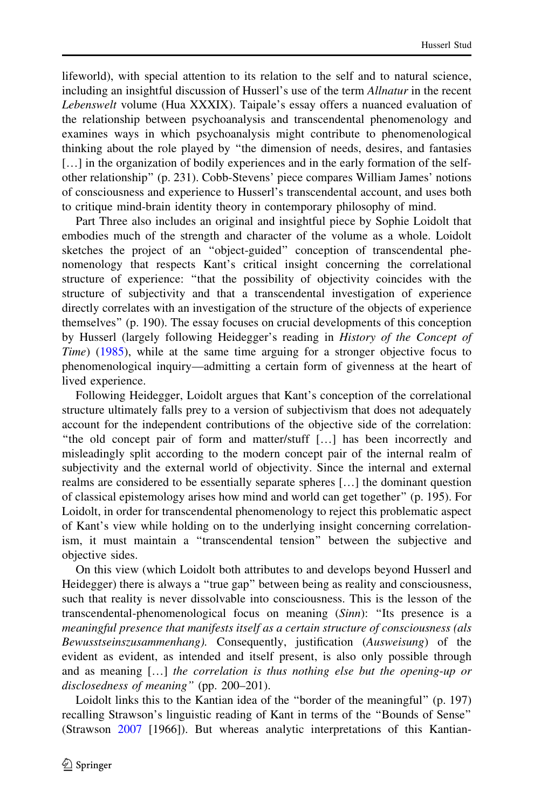lifeworld), with special attention to its relation to the self and to natural science, including an insightful discussion of Husserl's use of the term *Allnatur* in the recent Lebenswelt volume (Hua XXXIX). Taipale's essay offers a nuanced evaluation of the relationship between psychoanalysis and transcendental phenomenology and examines ways in which psychoanalysis might contribute to phenomenological thinking about the role played by ''the dimension of needs, desires, and fantasies [...] in the organization of bodily experiences and in the early formation of the selfother relationship'' (p. 231). Cobb-Stevens' piece compares William James' notions of consciousness and experience to Husserl's transcendental account, and uses both to critique mind-brain identity theory in contemporary philosophy of mind.

Part Three also includes an original and insightful piece by Sophie Loidolt that embodies much of the strength and character of the volume as a whole. Loidolt sketches the project of an ''object-guided'' conception of transcendental phenomenology that respects Kant's critical insight concerning the correlational structure of experience: ''that the possibility of objectivity coincides with the structure of subjectivity and that a transcendental investigation of experience directly correlates with an investigation of the structure of the objects of experience themselves'' (p. 190). The essay focuses on crucial developments of this conception by Husserl (largely following Heidegger's reading in History of the Concept of Time) [\(1985](#page-6-0)), while at the same time arguing for a stronger objective focus to phenomenological inquiry—admitting a certain form of givenness at the heart of lived experience.

Following Heidegger, Loidolt argues that Kant's conception of the correlational structure ultimately falls prey to a version of subjectivism that does not adequately account for the independent contributions of the objective side of the correlation: ''the old concept pair of form and matter/stuff […] has been incorrectly and misleadingly split according to the modern concept pair of the internal realm of subjectivity and the external world of objectivity. Since the internal and external realms are considered to be essentially separate spheres […] the dominant question of classical epistemology arises how mind and world can get together'' (p. 195). For Loidolt, in order for transcendental phenomenology to reject this problematic aspect of Kant's view while holding on to the underlying insight concerning correlationism, it must maintain a ''transcendental tension'' between the subjective and objective sides.

On this view (which Loidolt both attributes to and develops beyond Husserl and Heidegger) there is always a ''true gap'' between being as reality and consciousness, such that reality is never dissolvable into consciousness. This is the lesson of the transcendental-phenomenological focus on meaning (Sinn): ''Its presence is a meaningful presence that manifests itself as a certain structure of consciousness (als Bewusstseinszusammenhang). Consequently, justification (Ausweisung) of the evident as evident, as intended and itself present, is also only possible through and as meaning […] the correlation is thus nothing else but the opening-up or disclosedness of meaning'' (pp. 200–201).

Loidolt links this to the Kantian idea of the ''border of the meaningful'' (p. 197) recalling Strawson's linguistic reading of Kant in terms of the ''Bounds of Sense'' (Strawson [2007](#page-6-0) [1966]). But whereas analytic interpretations of this Kantian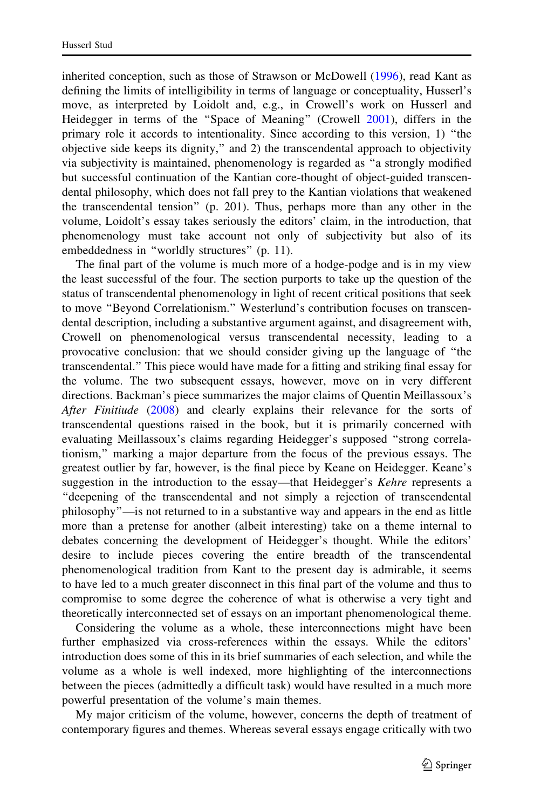inherited conception, such as those of Strawson or McDowell [\(1996](#page-6-0)), read Kant as defining the limits of intelligibility in terms of language or conceptuality, Husserl's move, as interpreted by Loidolt and, e.g., in Crowell's work on Husserl and Heidegger in terms of the "Space of Meaning" (Crowell [2001\)](#page-6-0), differs in the primary role it accords to intentionality. Since according to this version, 1) ''the objective side keeps its dignity,'' and 2) the transcendental approach to objectivity via subjectivity is maintained, phenomenology is regarded as ''a strongly modified but successful continuation of the Kantian core-thought of object-guided transcendental philosophy, which does not fall prey to the Kantian violations that weakened the transcendental tension'' (p. 201). Thus, perhaps more than any other in the volume, Loidolt's essay takes seriously the editors' claim, in the introduction, that phenomenology must take account not only of subjectivity but also of its embeddedness in ''worldly structures'' (p. 11).

The final part of the volume is much more of a hodge-podge and is in my view the least successful of the four. The section purports to take up the question of the status of transcendental phenomenology in light of recent critical positions that seek to move ''Beyond Correlationism.'' Westerlund's contribution focuses on transcendental description, including a substantive argument against, and disagreement with, Crowell on phenomenological versus transcendental necessity, leading to a provocative conclusion: that we should consider giving up the language of ''the transcendental.'' This piece would have made for a fitting and striking final essay for the volume. The two subsequent essays, however, move on in very different directions. Backman's piece summarizes the major claims of Quentin Meillassoux's After Finitiude [\(2008](#page-6-0)) and clearly explains their relevance for the sorts of transcendental questions raised in the book, but it is primarily concerned with evaluating Meillassoux's claims regarding Heidegger's supposed ''strong correlationism,'' marking a major departure from the focus of the previous essays. The greatest outlier by far, however, is the final piece by Keane on Heidegger. Keane's suggestion in the introduction to the essay—that Heidegger's *Kehre* represents a ''deepening of the transcendental and not simply a rejection of transcendental philosophy''—is not returned to in a substantive way and appears in the end as little more than a pretense for another (albeit interesting) take on a theme internal to debates concerning the development of Heidegger's thought. While the editors' desire to include pieces covering the entire breadth of the transcendental phenomenological tradition from Kant to the present day is admirable, it seems to have led to a much greater disconnect in this final part of the volume and thus to compromise to some degree the coherence of what is otherwise a very tight and theoretically interconnected set of essays on an important phenomenological theme.

Considering the volume as a whole, these interconnections might have been further emphasized via cross-references within the essays. While the editors' introduction does some of this in its brief summaries of each selection, and while the volume as a whole is well indexed, more highlighting of the interconnections between the pieces (admittedly a difficult task) would have resulted in a much more powerful presentation of the volume's main themes.

My major criticism of the volume, however, concerns the depth of treatment of contemporary figures and themes. Whereas several essays engage critically with two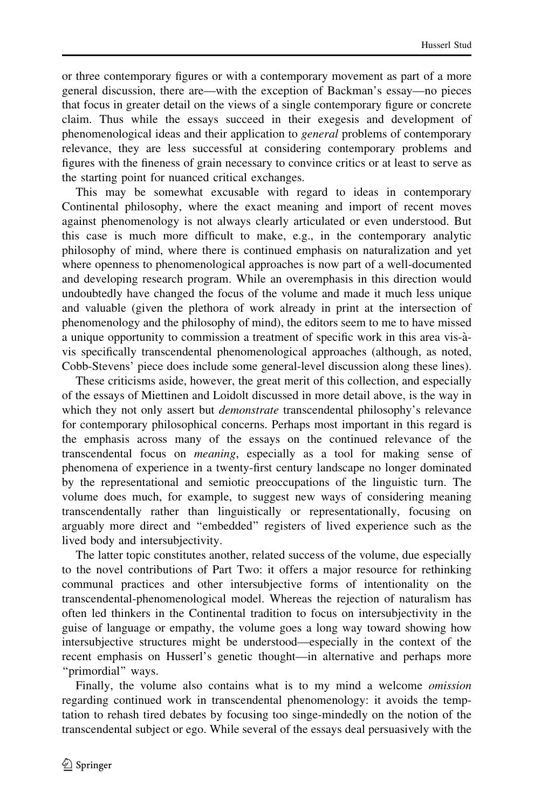or three contemporary figures or with a contemporary movement as part of a more general discussion, there are—with the exception of Backman's essay—no pieces that focus in greater detail on the views of a single contemporary figure or concrete claim. Thus while the essays succeed in their exegesis and development of phenomenological ideas and their application to general problems of contemporary relevance, they are less successful at considering contemporary problems and figures with the fineness of grain necessary to convince critics or at least to serve as the starting point for nuanced critical exchanges.

This may be somewhat excusable with regard to ideas in contemporary Continental philosophy, where the exact meaning and import of recent moves against phenomenology is not always clearly articulated or even understood. But this case is much more difficult to make, e.g., in the contemporary analytic philosophy of mind, where there is continued emphasis on naturalization and yet where openness to phenomenological approaches is now part of a well-documented and developing research program. While an overemphasis in this direction would undoubtedly have changed the focus of the volume and made it much less unique and valuable (given the plethora of work already in print at the intersection of phenomenology and the philosophy of mind), the editors seem to me to have missed a unique opportunity to commission a treatment of specific work in this area vis-a` vis specifically transcendental phenomenological approaches (although, as noted, Cobb-Stevens' piece does include some general-level discussion along these lines).

These criticisms aside, however, the great merit of this collection, and especially of the essays of Miettinen and Loidolt discussed in more detail above, is the way in which they not only assert but *demonstrate* transcendental philosophy's relevance for contemporary philosophical concerns. Perhaps most important in this regard is the emphasis across many of the essays on the continued relevance of the transcendental focus on meaning, especially as a tool for making sense of phenomena of experience in a twenty-first century landscape no longer dominated by the representational and semiotic preoccupations of the linguistic turn. The volume does much, for example, to suggest new ways of considering meaning transcendentally rather than linguistically or representationally, focusing on arguably more direct and ''embedded'' registers of lived experience such as the lived body and intersubjectivity.

The latter topic constitutes another, related success of the volume, due especially to the novel contributions of Part Two: it offers a major resource for rethinking communal practices and other intersubjective forms of intentionality on the transcendental-phenomenological model. Whereas the rejection of naturalism has often led thinkers in the Continental tradition to focus on intersubjectivity in the guise of language or empathy, the volume goes a long way toward showing how intersubjective structures might be understood—especially in the context of the recent emphasis on Husserl's genetic thought—in alternative and perhaps more ''primordial'' ways.

Finally, the volume also contains what is to my mind a welcome omission regarding continued work in transcendental phenomenology: it avoids the temptation to rehash tired debates by focusing too singe-mindedly on the notion of the transcendental subject or ego. While several of the essays deal persuasively with the